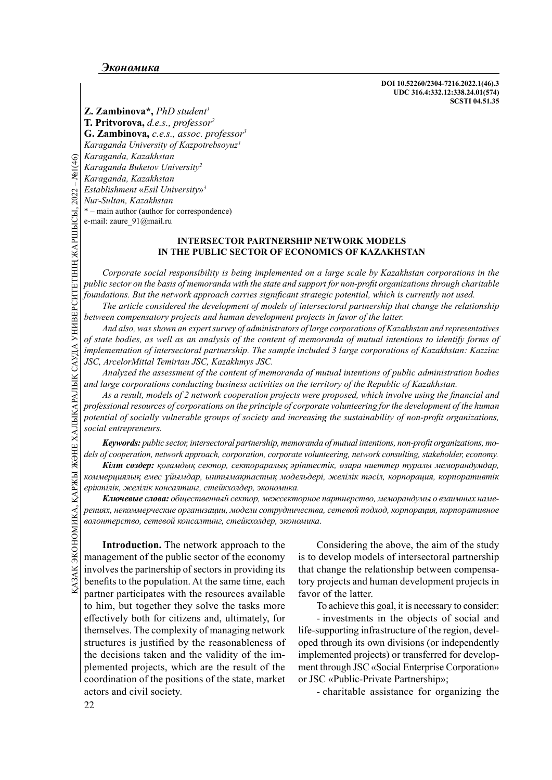DOI 10.52260/2304-7216.2022.1(46).3 UDC 316.4:332.12:338.24.01(574) SCSTI 04.51.35

*Comparama, Kazakhstan*<br> *Karaganda, Kazakhstan*<br> *Karaganda, Kazakhstan*<br> *Establishment* «*Esil Univ*<br> *Nur-Sultan, Kazakhstan*<br>
e-mail: zaure\_91@mail.ru<br> **Corporate social respective**<br> **Corporate social respectives**<br> **C Z. Zambinova**\*, *PhD student<sup>1</sup>* T. Pritvorova, d.e.s., professor<sup>2</sup> G. Zambinova, c.e.s., assoc. professor<sup>3</sup> Karaganda University of Kazpotrebsoyuz<sup>1</sup> Karaganda, Kazakhstan Karaganda Buketov University<sup>2</sup> Karaganda, Kazakhstan Establishment «Esil University» 3 Nur-Sultan, Kazakhstan \* – main author (author for correspondence) e-mail: zaure 91@mail.ru

## INTERSECTOR PARTNERSHIP NETWORK MODELS IN THE PUBLIC SECTOR OF ECONOMICS OF KAZAKHSTAN

Corporate social responsibility is being implemented on a large scale by Kazakhstan corporations in the public sector on the basis of memoranda with the state and support for non-profit organizations through charitable foundations. But the network approach carries significant strategic potential, which is currently not used.

The article considered the development of models of intersectoral partnership that change the relationship between compensatory projects and human development projects in favor of the latter.

And also, was shown an expert survey of administrators of large corporations of Kazakhstan and representatives of state bodies, as well as an analysis of the content of memoranda of mutual intentions to identify forms of implementation of intersectoral partnership. The sample included 3 large corporations of Kazakhstan: Kazzinc JSC, ArcelorMittal Temirtau JSC, Kazakhmys JSC.

Analyzed the assessment of the content of memoranda of mutual intentions of public administration bodies and large corporations conducting business activities on the territory of the Republic of Kazakhstan.

As a result, models of 2 network cooperation projects were proposed, which involve using the financial and professional resources of corporations on the principle of corporate volunteering for the development of the human potential of socially vulnerable groups of society and increasing the sustainability of non-profit organizations, social entrepreneurs.

Keywords: public sector, intersectoral partnership, memoranda of mutual intentions, non-profi t organizations, models of cooperation, network approach, corporation, corporate volunteering, network consulting, stakeholder, еconomy.

Кілт сөздер: қоғамдық сектор, сектораралық Ωріптестік, өзара ниеттер туралы меморандумдар, коммерциялық емес ұйымдар, ынтымақтастық модельдері, желілік тәсіл, корпорация, корпоративтік еріктілік, желілік консалтинг, стейкхолдер, экономика.

Ключевые слова: общественный сектор, межсекторное партнерство, меморандумы о взаимных намерениях, некоммерческие организации, модели сотрудничества, сетевой подход, корпорация, корпоративное волонтерство, сетевой консалтинг, стейкхолдер, экономика.

**Kinn cosdep:**  $\kappa$ osamobik cekmop, cekmopapanik apinmecmik, osa<br>  $\kappa$ examopapanik emergentik and applicant and applicant and applicant and applicant and applicant and applicant and  $\kappa$ -<br>  $\kappa$ examopapanik consider a Introduction. The network approach to the management of the public sector of the economy involves the partnership of sectors in providing its benefits to the population. At the same time, each partner participates with the resources available to him, but together they solve the tasks more eff ectively both for citizens and, ultimately, for themselves. The complexity of managing network structures is justified by the reasonableness of the decisions taken and the validity of the implemented projects, which are the result of the coordination of the positions of the state, market actors and civil society.

Considering the above, the aim of the study is to develop models of intersectoral partnership that change the relationship between compensatory projects and human development projects in favor of the latter.

To achieve this goal, it is necessary to consider:

- investments in the objects of social and life-supporting infrastructure of the region, developed through its own divisions (or independently implemented projects) or transferred for development through JSC «Social Enterprise Corporation» or JSC «Public-Private Partnership»;

- charitable assistance for organizing the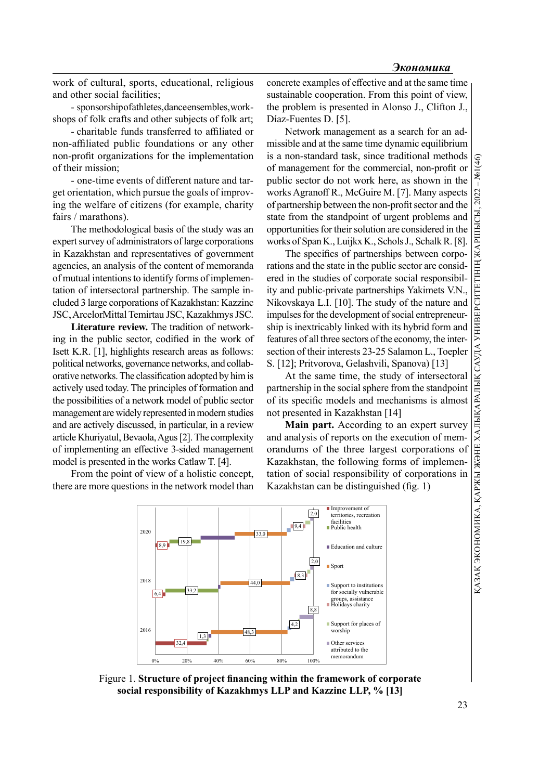work of cultural, sports, educational, religious and other social facilities;

- sponsorship of athletes, dance ensembles, workshops of folk crafts and other subjects of folk art;

- charitable funds transferred to affiliated or non-affiliated public foundations or any other non-profit organizations for the implementation of their mission;

- one-time events of different nature and target orientation, which pursue the goals of improving the welfare of citizens (for example, charity fairs / marathons).

The methodological basis of the study was an expert survey of administrators of large corporations in Kazakhstan and representatives of government agencies, an analysis of the content of memoranda of mutual intentions to identify forms of implementation of intersectoral partnership. The sample included 3 large corporations of Kazakhstan: Kazzinc JSC, ArcelorMittal Temirtau JSC, Kazakhmys JSC.

Literature review. The tradition of networking in the public sector, codified in the work of Isett K.R. [1], highlights research areas as follows: political networks, governance networks, and collaborative networks. The classification adopted by him is actively used today. The principles of formation and the possibilities of a network model of public sector management are widely represented in modern studies and are actively discussed, in particular, in a review article Khuriyatul, Bevaola, Agus [2]. The complexity of implementing an effective 3-sided management model is presented in the works Catlaw T. [4].

From the point of view of a holistic concept, there are more questions in the network model than

concrete examples of effective and at the same time sustainable cooperation. From this point of view, the problem is presented in Alonso J., Clifton J., Díaz-Fuentes D. [5].

Network management as a search for an admissible and at the same time dynamic equilibrium is a non-standard task, since traditional methods<br>of management for the commercial, non-profit or public sector do not work here, as shown in the of management for the commercial, non-profit or public sector do not work here, as shown in the works Agranoff R., McGuire M. [7]. Many aspects of partnership between the non-profi t sector and the state from the standpoint of urgent problems and opportunities for their solution are considered in the

works Agranoff R., McGuire M. [7]. Many aspects<br>
of partnership between the non-poofit sector and the<br>
state from the standpoint of ugent problems and<br>
opportunities for their solution are considered in the<br>
works of Span The specifics of partnerships between corporations and the state in the public sector are considered in the studies of corporate social responsibility and public-private partnerships Yakimets V.N., Nikovskaya L.I. [10]. The study of the nature and impulses for the development of social entrepreneurship is inextricably linked with its hybrid form and features of all three sectors of the economy, the intersection of their interests 23-25 Salamon L., Toepler S. [12]; Pritvorova, Gelashvili, Spanova) [13]

At the same time, the study of intersectoral partnership in the social sphere from the standpoint of its specific models and mechanisms is almost not presented in Kazakhstan [14]

Main part. According to an expert survey and analysis of reports on the execution of memorandums of the three largest corporations of Kazakhstan, the following forms of implementation of social responsibility of corporations in Kazakhstan can be distinguished (fig. 1)



Figure 1. Structure of project financing within the framework of corporate social responsibility of Kazakhmys LLP and Kazzinc LLP, % [13]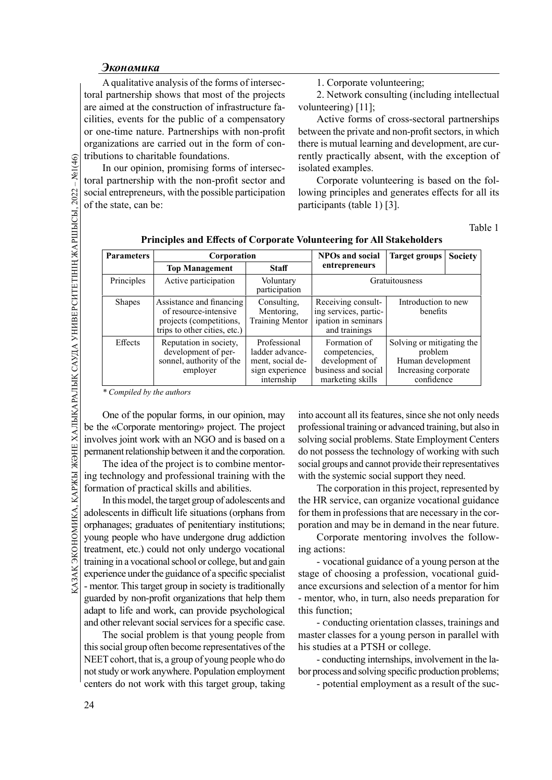A qualitative analysis of the forms of intersectoral partnership shows that most of the projects are aimed at the construction of infrastructure facilities, events for the public of a compensatory or one-time nature. Partnerships with non-profit organizations are carried out in the form of contributions to charitable foundations.

1. Corporate volunteering;

2. Network consulting (including intellectual volunteering) [11];

Active forms of cross-sectoral partnerships between the private and non-profit sectors, in which there is mutual learning and development, are currently practically absent, with the exception of isolated examples.

Corporate volunteering is based on the following principles and generates effects for all its participants (table 1) [3].

Table 1

| $-$ No $1(46)$                                      |                                                                                                                                                                                                                 | tributions to charitable foundations.<br>In our opinion, promising forms of intersec-                        |                                                                                      | rently practically absent, with the exceptic<br>isolated examples.                                                      |                                                                                                 |                |  |
|-----------------------------------------------------|-----------------------------------------------------------------------------------------------------------------------------------------------------------------------------------------------------------------|--------------------------------------------------------------------------------------------------------------|--------------------------------------------------------------------------------------|-------------------------------------------------------------------------------------------------------------------------|-------------------------------------------------------------------------------------------------|----------------|--|
|                                                     |                                                                                                                                                                                                                 | toral partnership with the non-profit sector and                                                             |                                                                                      | Corporate volunteering is based on the                                                                                  |                                                                                                 |                |  |
|                                                     | social entrepreneurs, with the possible participation                                                                                                                                                           |                                                                                                              |                                                                                      | lowing principles and generates effects for a                                                                           |                                                                                                 |                |  |
|                                                     | of the state, can be:                                                                                                                                                                                           |                                                                                                              |                                                                                      | participants (table 1) [3].                                                                                             |                                                                                                 |                |  |
|                                                     |                                                                                                                                                                                                                 |                                                                                                              |                                                                                      |                                                                                                                         |                                                                                                 | Ta             |  |
|                                                     | <b>Parameters</b>                                                                                                                                                                                               | Corporation                                                                                                  |                                                                                      | Principles and Effects of Corporate Volunteering for All Stakeholders<br><b>NPOs and social</b><br><b>Target groups</b> |                                                                                                 | <b>Society</b> |  |
|                                                     |                                                                                                                                                                                                                 | <b>Top Management</b>                                                                                        | <b>Staff</b>                                                                         | entrepreneurs                                                                                                           |                                                                                                 |                |  |
|                                                     | Principles                                                                                                                                                                                                      | Active participation                                                                                         | Voluntary<br>participation                                                           |                                                                                                                         | Gratuitousness                                                                                  |                |  |
|                                                     | <b>Shapes</b>                                                                                                                                                                                                   | Assistance and financing<br>of resource-intensive<br>projects (competitions,<br>trips to other cities, etc.) | Consulting,<br>Mentoring,<br><b>Training Mentor</b>                                  | Receiving consult-<br>ing services, partic-<br>ipation in seminars<br>and trainings                                     | Introduction to new<br>benefits                                                                 |                |  |
| ЭНЕ ХАЛЫҚАРАЛЫҚ САУДА УНИВЕРСИТЕТІНІҢ ЖАРШЫСЫ, 2022 | Effects                                                                                                                                                                                                         | Reputation in society,<br>development of per-<br>sonnel, authority of the<br>employer                        | Professional<br>ladder advance-<br>ment, social de-<br>sign experience<br>internship | Formation of<br>competencies,<br>development of<br>business and social<br>marketing skills                              | Solving or mitigating the<br>problem<br>Human development<br>Increasing corporate<br>confidence |                |  |
|                                                     | * Compiled by the authors                                                                                                                                                                                       |                                                                                                              |                                                                                      |                                                                                                                         |                                                                                                 |                |  |
|                                                     | into account all its features, since she not only r<br>One of the popular forms, in our opinion, may<br>professional training or advanced training, but al<br>be the «Corporate mentoring» project. The project |                                                                                                              |                                                                                      |                                                                                                                         |                                                                                                 |                |  |
|                                                     |                                                                                                                                                                                                                 | involves joint work with an NGO and is based on a                                                            | solving social problems. State Employment Ce                                         |                                                                                                                         |                                                                                                 |                |  |
|                                                     |                                                                                                                                                                                                                 | do not possess the technology of working with                                                                |                                                                                      |                                                                                                                         |                                                                                                 |                |  |
|                                                     | permanent relationship between it and the corporation.                                                                                                                                                          |                                                                                                              |                                                                                      |                                                                                                                         |                                                                                                 |                |  |

Principles and Effects of Corporate Volunteering for All Stakeholders

The idea of the project is to combine mentoring technology and professional training with the formation of practical skills and abilities.

The idea of the project is to combine mentor-<br>  $\frac{1}{2}$  ing technology and professional training with the with the system<br>
formation of practical skills and abilities. The correction<br>
In this model, the target group of a In this model, the target group of adolescents and adolescents in difficult life situations (orphans from orphanages; graduates of penitentiary institutions; young people who have undergone drug addiction treatment, etc.) could not only undergo vocational training in a vocational school or college, but and gain experience under the guidance of a specific specialist - mentor. This target group in society is traditionally guarded by non-profit organizations that help them adapt to life and work, can provide psychological and other relevant social services for a specific case.

The social problem is that young people from this social group often become representatives of the NEET cohort, that is, a group of young people who do not study or work anywhere. Population employment centers do not work with this target group, taking into account all its features, since she not only needs professional training or advanced training, but also in solving social problems. State Employment Centers do not possess the technology of working with such social groups and cannot provide their representatives with the systemic social support they need.

The corporation in this project, represented by the HR service, can organize vocational guidance for them in professions that are necessary in the corporation and may be in demand in the near future.

Corporate mentoring involves the following actions:

- vocational guidance of a young person at the stage of choosing a profession, vocational guidance excursions and selection of a mentor for him - mentor, who, in turn, also needs preparation for this function;

- conducting orientation classes, trainings and master classes for a young person in parallel with his studies at a PTSH or college.

- conducting internships, involvement in the labor process and solving specific production problems;

- potential employment as a result of the suc-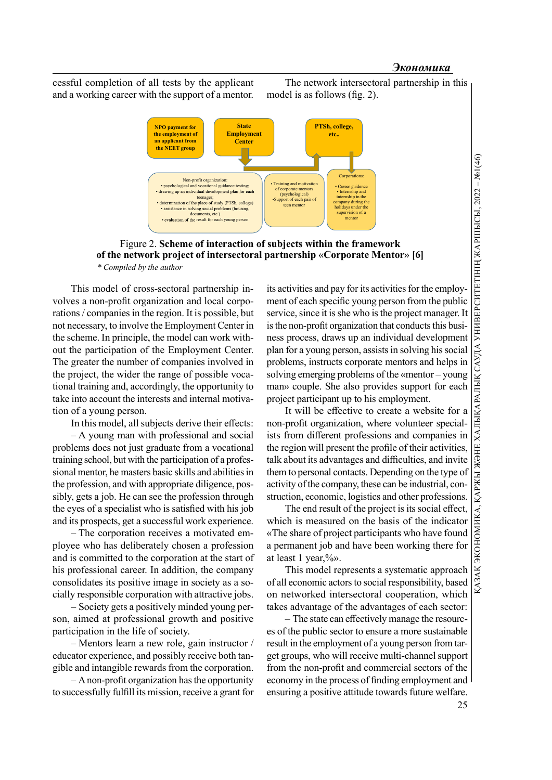cessful completion of all tests by the applicant and a working career with the support of a mentor.





Figure 2. Scheme of interaction of subjects within the framework of the network project of intersectoral partnership «Corporate Mentor» [6] \* Compiled by the author

This model of cross-sectoral partnership involves a non-profit organization and local corporations / companies in the region. It is possible, but not necessary, to involve the Employment Center in the scheme. In principle, the model can work without the participation of the Employment Center. The greater the number of companies involved in the project, the wider the range of possible vocational training and, accordingly, the opportunity to take into account the interests and internal motivation of a young person.

In this model, all subjects derive their effects:

– A young man with professional and social problems does not just graduate from a vocational training school, but with the participation of a professional mentor, he masters basic skills and abilities in the profession, and with appropriate diligence, possibly, gets a job. He can see the profession through the eyes of a specialist who is satisfied with his job and its prospects, get a successful work experience.

– The corporation receives a motivated employee who has deliberately chosen a profession and is committed to the corporation at the start of his professional career. In addition, the company consolidates its positive image in society as a socially responsible corporation with attractive jobs.

– Society gets a positively minded young person, aimed at professional growth and positive participation in the life of society.

– Mentors learn a new role, gain instructor / educator experience, and possibly receive both tangible and intangible rewards from the corporation.

 $-$  A non-profit organization has the opportunity to successfully fulfill its mission, receive a grant for

its activities and pay for its activities for the employment of each specific young person from the public service, since it is she who is the project manager. It is the non-profit organization that conducts this business process, draws up an individual development plan for a young person, assists in solving his social problems, instructs corporate mentors and helps in solving emerging problems of the «mentor – young man» couple. She also provides support for each project participant up to his employment. **INSTRALACT THE CONSERVABLE THE CONSERVABLE SET AND AN INTERFERENCE SET AND CONDITIONAL CONDITIONAL CONDITIONAL CONDITIONAL DESCRIPTION (SET ALLOWS THE PROCESS, draws up an individual development for a young person from th** 

non-profit organization, where volunteer specialists from different professions and companies in the region will present the profile of their activities, talk about its advantages and difficulties, and invite them to personal contacts. Depending on the type of activity of the company, these can be industrial, construction, economic, logistics and other professions.

The end result of the project is its social effect, which is measured on the basis of the indicator «The share of project participants who have found a permanent job and have been working there for at least 1 year,%».

This model represents a systematic approach of all economic actors to social responsibility, based on networked intersectoral cooperation, which takes advantage of the advantages of each sector:

– The state can effectively manage the resources of the public sector to ensure a more sustainable result in the employment of a young person from target groups, who will receive multi-channel support from the non-profit and commercial sectors of the economy in the process of finding employment and ensuring a positive attitude towards future welfare.

25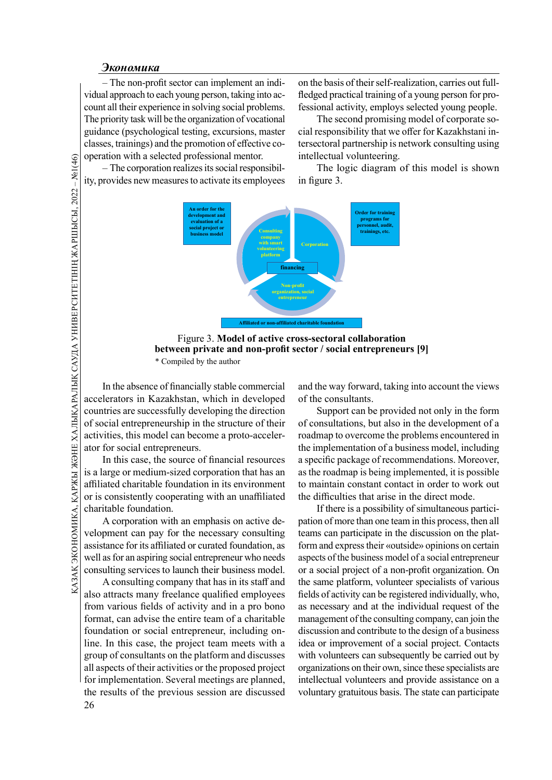$\frac{\partial \text{K}\text{O}\text{H}\text{O}\text{M}\text{U}\text{K}\text{I}}{\text{O}}$  – The non-profit sector can implement an indi-<br>
on the basis of their self-realized approach to each young person, taking into ac-<br>
and approach to each young person, taking in vidual approach to each young person, taking into account all their experience in solving social problems. The priority task will be the organization of vocational guidance (psychological testing, excursions, master classes, trainings) and the promotion of effective cooperation with a selected professional mentor.

on the basis of their self-realization, carries out fullfledged practical training of a young person for professional activity, employs selected young people.

The second promising model of corporate social responsibility that we offer for Kazakhstani intersectoral partnership is network consulting using intellectual volunteering.

– The corporation realizes its social responsibility, provides new measures to activate its employees

The logic diagram of this model is shown in figure 3.



Figure 3. Model of active cross-sectoral collaboration between private and non-profit sector / social entrepreneurs [9] \* Compiled by the author

<u>G</u><br>
(α) operation with a selected<br>
— The corporation re<br>
— The corporation reasure<br>
<br>
<br>
THE CHARE SECTION TO BE THE CORPORATED TO BE THE CONTROLLED IN the absence of fir<br>
<br>
<br>
SECTION TO SOCIAL EXAMPLE CONTROLLED TO SOCI In the absence of financially stable commercial accelerators in Kazakhstan, which in developed countries are successfully developing the direction of social entrepreneurship in the structure of their activities, this model can become a proto-accelerator for social entrepreneurs.

In this case, the source of financial resources is a large or medium-sized corporation that has an affiliated charitable foundation in its environment or is consistently cooperating with an unaffiliated charitable foundation.

 $\frac{18}{25}$  is a large or medium-sized corporation that has an as the roadm<br>affiliated charitable foundation in its environment to maintain or is consistently cooperating with an unaffiliated the difficulti-<br>charitable fo A corporation with an emphasis on active development can pay for the necessary consulting assistance for its affiliated or curated foundation, as well as for an aspiring social entrepreneur who needs consulting services to launch their business model.

A consulting company that has in its staff and also attracts many freelance qualified employees from various fields of activity and in a pro bono format, can advise the entire team of a charitable foundation or social entrepreneur, including online. In this case, the project team meets with a group of consultants on the platform and discusses all aspects of their activities or the proposed project for implementation. Several meetings are planned, the results of the previous session are discussed

and the way forward, taking into account the views of the consultants.

Support can be provided not only in the form of consultations, but also in the development of a roadmap to overcome the problems encountered in the implementation of a business model, including a specific package of recommendations. Moreover, as the roadmap is being implemented, it is possible to maintain constant contact in order to work out the difficulties that arise in the direct mode.

If there is a possibility of simultaneous participation of more than one team in this process, then all teams can participate in the discussion on the platform and express their «outside» opinions on certain aspects of the business model of a social entrepreneur or a social project of a non-profit organization. On the same platform, volunteer specialists of various fields of activity can be registered individually, who, as necessary and at the individual request of the management of the consulting company, can join the discussion and contribute to the design of a business idea or improvement of a social project. Contacts with volunteers can subsequently be carried out by organizations on their own, since these specialists are intellectual volunteers and provide assistance on a voluntary gratuitous basis. The state can participate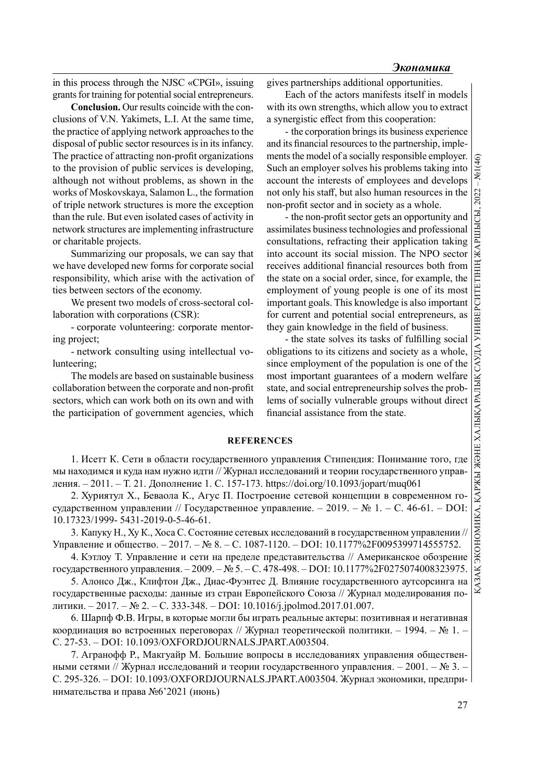in this process through the NJSC «CPGI», issuing grants for training for potential social entrepreneurs.

Conclusion. Our results coincide with the conclusions of V.N. Yakimets, L.I. At the same time, the practice of applying network approaches to the disposal of public sector resources is in its infancy. The practice of attracting non-profit organizations to the provision of public services is developing, although not without problems, as shown in the works of Moskovskaya, Salamon L., the formation of triple network structures is more the exception than the rule. But even isolated cases of activity in network structures are implementing infrastructure or charitable projects.

Summarizing our proposals, we can say that we have developed new forms for corporate social responsibility, which arise with the activation of ties between sectors of the economy.

We present two models of cross-sectoral collaboration with corporations (CSR):

- corporate volunteering: corporate mentoring project;

- network consulting using intellectual volunteering;

The models are based on sustainable business collaboration between the corporate and non-profit sectors, which can work both on its own and with the participation of government agencies, which gives partnerships additional opportunities.

Each of the actors manifests itself in models with its own strengths, which allow you to extract a synergistic effect from this cooperation:

- the corporation brings its business experience and its financial resources to the partnership, implements the model of a socially responsible employer. Such an employer solves his problems taking into account the interests of employees and develops Such an employer solves his problems taking into account the interests of employees and develops not only his staff, but also human resources in the non-profit sector and in society as a whole.

- the non-profit sector gets an opportunity and assimilates business technologies and professional consultations, refracting their application taking into account its social mission. The NPO sector receives additional financial resources both from the state on a social order, since, for example, the employment of young people is one of its most important goals. This knowledge is also important for current and potential social entrepreneurs, as they gain knowledge in the field of business. not only his staff, but also human resources in the com-<br>profit sector and in society as a whole.<br>
the non-profit sector gets an opportunity and<br>
assimilates business technologies and professional<br>
consultations, refracti

- the state solves its tasks of fulfilling social obligations to its citizens and society as a whole, since employment of the population is one of the state, and social entrepreneurship solves the problems of socially vulnerable groups without direct financial assistance from the state.

### **REFERENCES**

1. Исетт К. Сети в области государственного управления Стипендия: Понимание того, где мы находимся и куда нам нужно идти // Журнал исследований и теории государственного управления. – 2011. – Т. 21. Дополнение 1. С. 157-173. https://doi.org/10.1093/jopart/muq061

2. Хуриятул Х., Беваола К., Агус П. Построение сетевой концепции в современном государственном управлении // Государственное управление. – 2019. – № 1. – С. 46-61. – DOI: 10.17323/1999- 5431-2019-0-5-46-61.

3. Капуку Н., Ху К., Хоса С. Состояние сетевых исследований в государственном управлении // Управление и общество. – 2017. – № 8. – C. 1087-1120. – DOI: 10.1177%2F0095399714555752.

4. Кэтлоу Т. Управление и сети на пределе представительства // Американское обозрение государственного управления. – 2009. – № 5. – C. 478-498. – DOI: 10.1177%2F0275074008323975.

5. Алонсо Дж., Клифтон Дж., Диас-Фуэнтес Д. Влияние государственного аутсорсинга на государственные расходы: данные из стран Европейского Союза // Журнал моделирования политики. – 2017. – № 2. – C. 333-348. – DOI: 10.1016/j.jpolmod.2017.01.007.

6. Шарпф Ф.В. Игры, в которые могли бы играть реальные актеры: позитивная и негативная координация во встроенных переговорах // Журнал теоретической политики. – 1994. – № 1. – C. 27-53. – DOI: 10.1093/OXFORDJOURNALS.JPART.A003504.

7. Агранофф Р., Макгуайр М. Большие вопросы в исследованиях управления общественными сетями // Журнал исследований и теории государственного управления. – 2001. – № 3. – C. 295-326. – DOI: 10.1093/OXFORDJOURNALS.JPART.A003504. Журнал экономики, предпринимательства и права №6'2021 (июнь)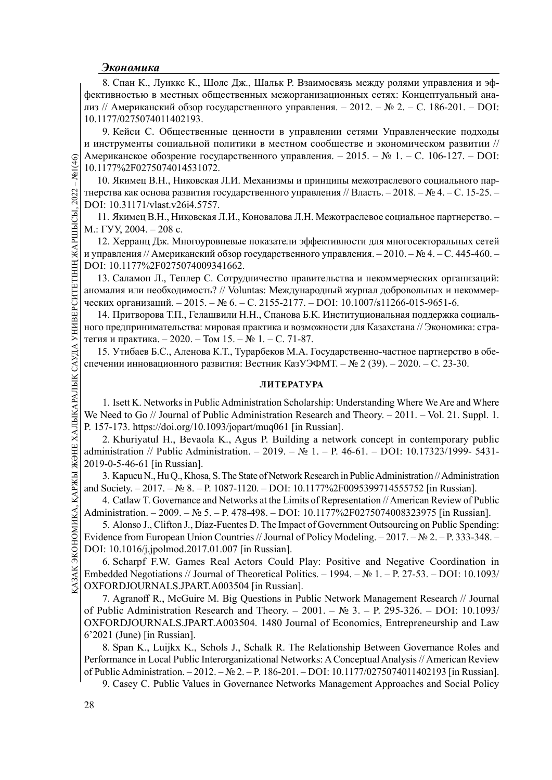8. Спан К., Луиккс К., Шолс Дж., Шальк Р. Взаимосвязь между ролями управления и эффективностью в местных общественных межорганизационных сетях: Концептуальный анализ // Американский обзор государственного управления. – 2012. – № 2. – С. 186-201. – DOI: 10.1177/0275074011402193.

9. Кейси С. Общественные ценности в управлении сетями Управленческие подходы и инструменты социальной политики в местном сообществе и экономическом развитии // Американское обозрение государственного управления. – 2015. – № 1. – C. 106-127. – DOI: 10.1177%2F0275074014531072.

 $\frac{1}{2}$  Американское ооозре 10.1177%2F02750740<br>
10.1177%2F02750740<br>
10.3kимец В.Н., Н<br>
THE THE STATE REPORT AND INTERNATIONAL STATE of the contract of the state of the state of the state of the parameters<br>  $\frac{1}{2}$  и 10. Якимец В.Н., Никовская Л.И. Механизмы и принципы межотраслевого социального партнерства как основа развития государственного управления // Власть. – 2018. – № 4. – C. 15-25. – DOI: 10.31171/vlast.v26i4.5757.

11. Якимец В.Н., Никовская Л.И., Коновалова Л.Н. Межотраслевое социальное партнерство. – М.: ГУУ, 2004. – 208 с.

12. Херранц Дж. Многоуровневые показатели эффективности для многосекторальных сетей и управления // Американский обзор государственного управления. – 2010. – № 4. – C. 445-460. – DOI: 10.1177%2F0275074009341662.

13. Саламон Л., Теплер С. Сотрудничество правительства и некоммерческих организаций: аномалия или необходимость? // Voluntas: Международный журнал добровольных и некоммерческих организаций. – 2015. – № 6. – C. 2155-2177. – DOI: 10.1007/s11266-015-9651-6.

14. Притворова Т.П., Гелашвили Н.Н., Спанова Б.К. Институциональная поддержка социального предпринимательства: мировая практика и возможности для Казахстана // Экономика: стратегия и практика. – 2020. – Том 15. –  $\mathbb{N}$ <sup>o</sup> 1. – С. 71-87.

15. Утибаев Б.С., Аленова К.Т., Турарбеков М.А. Государственно-частное партнерство в обеспечении инновационного развития: Вестник КазУЭФМТ. – № 2 (39). – 2020. – C. 23-30.

## ЛИТЕРАТУРА

1. Isett K. Networks in Public Administration Scholarship: Understanding Where We Are and Where We Need to Go // Journal of Public Administration Research and Theory. – 2011. – Vol. 21. Suppl. 1. P. 157-173. https://doi.org/10.1093/jopart/muq061 [in Russian].

2. Khuriyatul H., Bevaola K., Agus P. Building a network concept in contemporary public administration // Public Administration. – 2019. – № 1. – P. 46-61. – DOI: 10.17323/1999- 5431- 2019-0-5-46-61 [in Russian].

3. Kapucu N., Hu Q., Khosa, S. The State of Network Research in Public Administration // Administration and Society. – 2017. – № 8. – P. 1087-1120. – DOI: 10.1177%2F0095399714555752 [in Russian].

4. Catlaw T. Governance and Networks at the Limits of Representation // American Review of Public Administration. – 2009. – № 5. – P. 478-498. – DOI: 10.1177%2F0275074008323975 [in Russian].

 $\frac{12019-0-5-46-61}{3}$ . Kapucu N., Hu Q., Khosa, S. The State of Network Research in<br>
and Society.  $-2017$ .  $-$  Ne 8.  $-$  P. 1087-1120.  $-$  DOI: 10.1177%2F0<br>
4. Catlaw T. Governance and Networks at the Limits of Repres<br> 5. Alonso J., Clifton J., Díaz-Fuentes D. The Impact of Government Outsourcing on Public Spending: Evidence from European Union Countries // Journal of Policy Modeling. – 2017. – № 2. – P. 333-348. – DOI: 10.1016/j.jpolmod.2017.01.007 [in Russian].

6. Scharpf F.W. Games Real Actors Could Play: Positive and Negative Coordination in Embedded Negotiations // Journal of Theoretical Politics. – 1994. – № 1. – P. 27-53. – DOI: 10.1093/ OXFORDJOURNALS.JPART.A003504 [in Russian].

7. Agranoff R., McGuire M. Big Questions in Public Network Management Research // Journal of Public Administration Research and Theory. – 2001. –  $\mathbb{N}^2$  3. – P. 295-326. – DOI: 10.1093/ OXFORDJOURNALS.JPART.A003504. 1480 Journal of Economics, Entrepreneurship and Law 6'2021 (June) [in Russian].

8. Span K., Luijkx K., Schols J., Schalk R. The Relationship Between Governance Roles and Performance in Local Public Interorganizational Networks: A Conceptual Analysis // American Review of Public Administration. – 2012. – № 2. – P. 186-201. – DOI: 10.1177/0275074011402193 [in Russian].

9. Casey C. Public Values in Governance Networks Management Approaches and Social Policy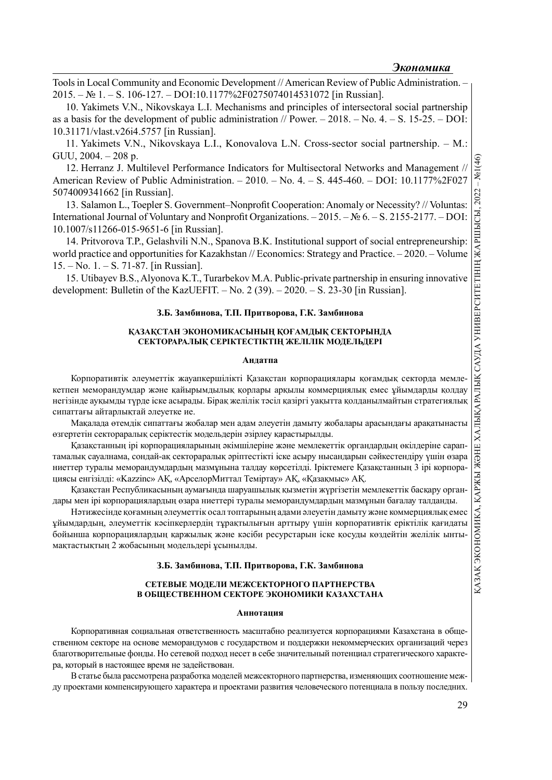Tools in Local Community and Economic Development // American Review of Public Administration. – 2015. – № 1. – S. 106-127. – DOI:10.1177%2F0275074014531072 [in Russian].

10. Yakimets V.N., Nikovskaya L.I. Mechanisms and principles of intersectoral social partnership as a basis for the development of public administration // Power.  $-2018$ .  $-$  No. 4.  $-$  S. 15-25.  $-$  DOI: 10.31171/vlast.v26i4.5757 [in Russian].

11. Yakimets V.N., Nikovskaya L.I., Konovalova L.N. Cross-sector social partnership. – M.: GUU, 2004. – 208 p.

12. Herranz J. Multilevel Performance Indicators for Multisectoral Networks and Management // American Review of Public Administration. – 2010. – No. 4. – S. 445-460. – DOI: 10.1177%2F027 5074009341662 [in Russian].

13. Salamon L., Toepler S. Government–Nonprofi t Cooperation: Anomaly or Necessity? // Voluntas: International Journal of Voluntary and Nonprofit Organizations.  $-2015$ .  $-\mathcal{N}_2$  6. – S. 2155-2177. – DOI: 10.1007/s11266-015-9651-6 [in Russian].

14. Pritvorova T.P., Gelashvili N.N., Spanova B.K. Institutional support of social entrepreneurship: world practice and opportunities for Kazakhstan // Economics: Strategy and Practice. – 2020. – Volume 15. – No. 1. – S. 71-87. [in Russian].

development: Bulletin of the KazUEFIT.  $-$  No. 2 (39).  $-$  2020.  $-$  S. 23-30 [in Russian].

### З.Б. Замбинова, Т.П. Притворова, Г.К. Замбинова

### ҚАЗАҚСТАН ЭКОНОМИКАСЫНЫҢ ҚОҒАМДЫҚ СЕКТОРЫНДА СЕКТОРАРАЛЫҚ СЕРІКТЕСТІКТІҢ ЖЕЛІЛІК МОДЕЛЬДЕРІ

#### Андатпа

Корпоративтік әлеуметтік жауапкершілікті Қазақстан корпорациялары қоғамдық секторда мемлекетпен меморандумдар және қайырымдылық қорлары арқылы коммерциялық емес ұйымдарды қолдау негізінде ауқымды түрде іске асырады. Бірақ желілік тәсіл қазіргі уақытта қолданылмайтын стратегиялық сипаттағы айтарлықтай әлеуетке ие.

Макалада өтемдік сипаттағы жобалар мен адам әлеуетін дамыту жобалары арасындағы арақатынасты өзгертетін сектораралық серіктестік модельдерін әзірлеу қарастырылды.

15. Utibayev B.S., Alyonova K.T., Turarbekov M.A. Public-private partnership in ensuring innovative Қазақстанның ірі корпорацияларының әкімшілеріне және мемлекеттік органдардың өкілдеріне сараптамалық сауалнама, сондай-ақ сектораралық әріптестікті іске асыру нысандарын сәйкестендіру үшін өзара ниеттер туралы меморандумдардың мазмұнына талдау көрсетілді. Іріктемеге Қазақстанның 3 ірі корпорациясы енгізілді: «Kazzinc» АҚ, «АрселорМиттал Теміртау» АҚ, «Қазақмыс» АҚ.

Қазақстан Республикасының аумағында шаруашылық қызметін жүргізетін мемлекеттік басқару органдары мен ірі корпорациялардың өзара ниеттері туралы меморандумдардың мазмұнын бағалау талданды.

Нәтижесінде қоғамның әлеуметтік осал топтарының адами әлеуетін дамыту және коммерциялық емес ұйымдардың, әлеуметтік кәсіпкерлердің тұрақтылығын арттыру үшін корпоративтік еріктілік қағидаты бойынша корпорациялардың қаржылық және кәсіби ресурстарын іске қосуды көздейтін желілік ынтымақтастықтың 2 жобасының модельдері ұсынылды.

#### З.Б. Замбинова, Т.П. Притворова, Г.К. Замбинова

## СЕТЕВЫЕ МОДЕЛИ МЕЖСЕКТОРНОГО ПАРТНЕРСТВА В ОБЩЕСТВЕННОМ СЕКТОРЕ ЭКОНОМИКИ КАЗАХСТАНА

#### Аннотация

Корпоративная социальная ответственность масштабно реализуется корпорациями Казахстана в общественном секторе на основе меморандумов с государством и поддержки некоммерческих организаций через благотворительные фонды. Но сетевой подход несет в себе значительный потенциал стратегического характера, который в настоящее время не задействован.

В статье была рассмотрена разработка моделей межсекторного партнерства, изменяющих соотношение между проектами компенсирующего характера и проектами развития человеческого потенциала в пользу последних.